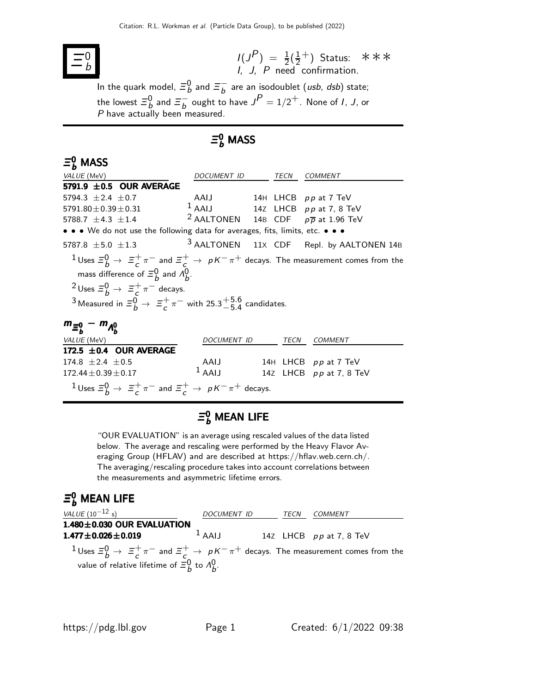

 $I(J^P) = \frac{1}{2}(\frac{1}{2})$  $(\frac{1}{2} + )$ I, J, P need confirmation. Status: ∗∗∗

In the quark model,  $\bar{\Xi}_b^0$  and  $\bar{\Xi}_b^ \overline{b}$  are an isodoublet (*usb*, *dsb*) state; the lowest  $\Xi_b^0$  and  $\Xi_b^ \int_{b}^{b}$  ought to have  $J^{P} = 1/2^{+}$ . None of *I*, *J*, or  $P$  have actually been measured.

## $\mathsf{\Xi}_b^0$  MASS

### $\mathsf{\Xi}_b^0$  MASS

| VALUE (MeV)                                                                                                                                                                                                                                                                                                                    | DOCUMENT ID                                               | TECN | <b>COMMENT</b>                                      |
|--------------------------------------------------------------------------------------------------------------------------------------------------------------------------------------------------------------------------------------------------------------------------------------------------------------------------------|-----------------------------------------------------------|------|-----------------------------------------------------|
| 5791.9 $\pm$ 0.5 OUR AVERAGE                                                                                                                                                                                                                                                                                                   |                                                           |      |                                                     |
| 5794.3 $\pm 2.4 \pm 0.7$                                                                                                                                                                                                                                                                                                       | AAIJ 14H LHCB pp at 7 TeV                                 |      |                                                     |
| $5791.80 \pm 0.39 \pm 0.31$                                                                                                                                                                                                                                                                                                    | $1$ AAIJ 14Z LHCB pp at 7, 8 TeV                          |      |                                                     |
| 5788.7 $\pm$ 4.3 $\pm$ 1.4                                                                                                                                                                                                                                                                                                     | <sup>2</sup> AALTONEN 14B CDF $p\overline{p}$ at 1.96 TeV |      |                                                     |
| • • • We do not use the following data for averages, fits, limits, etc. • • •                                                                                                                                                                                                                                                  |                                                           |      |                                                     |
| 5787.8 $\pm$ 5.0 $\pm$ 1.3                                                                                                                                                                                                                                                                                                     |                                                           |      | <sup>3</sup> AALTONEN 11X CDF Repl. by AALTONEN 14B |
| $1$ Uses $\Xi_b^0 \to \Xi_c^+\pi^-$ and $\Xi_c^+ \to pK^-\pi^+$ decays. The measurement comes from the<br>mass difference of $\Xi_{h}^{0}$ and $\Lambda_{h}^{0}$ .<br><sup>2</sup> Uses $\Xi_b^0 \rightarrow \Xi_c^+ \pi^-$ decays.<br>3 Measured in $\Xi_b^0 \rightarrow \Xi_c^+\pi^-$ with 25.3 $^{+5.6}_{-5.4}$ candidates. |                                                           |      |                                                     |
| $m_{\bar{z}_{h}^{0}} - m_{A_{h}^{0}}$                                                                                                                                                                                                                                                                                          |                                                           |      |                                                     |
| <i>VALUE</i> (MeV)                                                                                                                                                                                                                                                                                                             | DOCUMENT ID                                               | TECN | <b>COMMENT</b>                                      |
| 172.5 $\pm$ 0.4 OUR AVERAGE                                                                                                                                                                                                                                                                                                    |                                                           |      |                                                     |
| 174.8 $\pm 2.4 \pm 0.5$                                                                                                                                                                                                                                                                                                        | AAIJ                                                      |      | 14H LHCB pp at 7 TeV                                |
| $172.44 \pm 0.39 \pm 0.17$                                                                                                                                                                                                                                                                                                     | $1$ AAIJ                                                  |      | 14Z LHCB pp at 7, 8 TeV                             |

### $\bar{\boldsymbol{\Xi}}{}^0_{b}$  Mean Life

 $\frac{1}{c} \pi^-$  and  $\Xi_c^+ \to pK^-\pi^+$  decays.

"OUR EVALUATION" is an average using rescaled values of the data listed below. The average and rescaling were performed by the Heavy Flavor Averaging Group (HFLAV) and are described at https://hflav.web.cern.ch/. The averaging/rescaling procedure takes into account correlations between the measurements and asymmetric lifetime errors.

## $\bar{\Xi}^0_b$  mean life

<sup>1</sup> Uses  $\Xi_b^0 \rightarrow \Xi_c^+$ 

| <i>VALUE</i> ( $10^{-12}$ s)                                                                                                                                                                         | <i>DOCUMENT ID</i> | TECN | COMMENT                   |
|------------------------------------------------------------------------------------------------------------------------------------------------------------------------------------------------------|--------------------|------|---------------------------|
| $1.480 \pm 0.030$ OUR EVALUATION                                                                                                                                                                     |                    |      |                           |
| $1.477 \pm 0.026 \pm 0.019$                                                                                                                                                                          | $1$ AAIJ           |      | 14Z LHCB $pp$ at 7, 8 TeV |
| $1 \text{ Uses } \equiv b \rightarrow \equiv f \pi^-$ and $\equiv f \rightarrow pK^- \pi^+$ decays. The measurement comes from the<br>value of relative lifetime of $\bar{z}_h^0$ to $\Lambda_h^0$ . |                    |      |                           |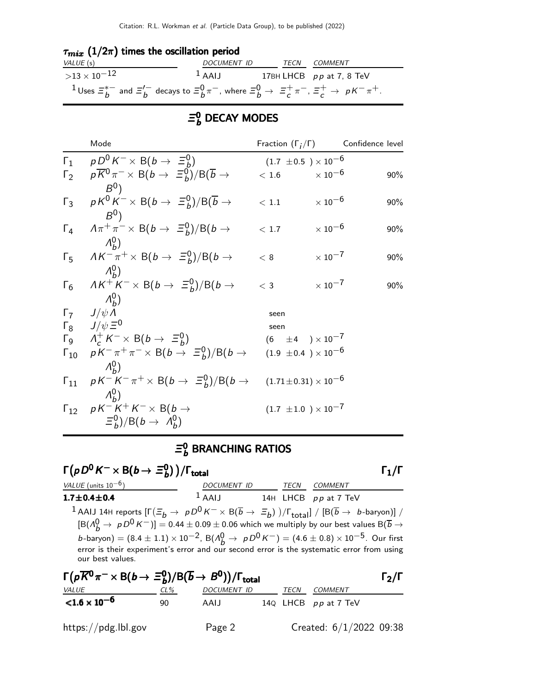### $\tau_{mix}$  (1/2 $\pi$ ) times the oscillation period

| VALUE (s)                                                                                                                         | DOCUMENT ID  | TECN COMMENT               |
|-----------------------------------------------------------------------------------------------------------------------------------|--------------|----------------------------|
| $>$ 13 $\times$ 10 $^{-12}$                                                                                                       | $\perp$ AALI | 17BH LHCB $pp$ at 7, 8 TeV |
| $1$ Uses $\Xi_b^{*-}$ and $\Xi_b^{/-}$ decays to $\Xi_b^0 \pi^-$ , where $\Xi_b^0 \to \Xi_c^+ \pi^-$ , $\Xi_c^+ \to pK^- \pi^+$ . |              |                            |

### $\mathsf{\Xi}^0_b$  DECAY MODES

|            | Mode                                                                                                                                                                                                                                           | Fraction $(\Gamma_i/\Gamma)$               | Confidence level          |     |
|------------|------------------------------------------------------------------------------------------------------------------------------------------------------------------------------------------------------------------------------------------------|--------------------------------------------|---------------------------|-----|
|            | $\Gamma_1$ $pD^0 K^- \times B(b \rightarrow \Xi_b^0)$                                                                                                                                                                                          | $(1.7 \pm 0.5) \times 10^{-6}$             |                           |     |
| $\Gamma_2$ | $p\overline{K}^0 \pi^- \times B(b \to \Xi_b^0)/B(\overline{b} \to$                                                                                                                                                                             | $<\,1.6$                                   | $\times$ 10 $^{-6}$       | 90% |
| $\Gamma_3$ | $B^{0}$<br>$pK^0K^{-} \times B(b \to \equiv_b^0)/B(\overline{b} \to$<br>$B^0$                                                                                                                                                                  | $<\,1.1$                                   | $\times$ 10 $^{-6}$       | 90% |
|            | $\Gamma_4$ $A\pi^+\pi^ \times$ B(b $\rightarrow$ $\Xi_b^0$ )/B(b $\rightarrow$                                                                                                                                                                 | < 1.7                                      | $\times$ 10 <sup>-6</sup> | 90% |
|            | $\Lambda_{h}^{0}$<br>$\Gamma_5$ $AK^-\pi^+ \times B(b \rightarrow \Xi_b^0)/B(b \rightarrow$                                                                                                                                                    | < 8                                        | $\times$ 10 <sup>-7</sup> | 90% |
| $\Gamma_6$ | $\Lambda_{h}^{0}$ )<br>$AK^+K^- \times B(b \to \equiv_b^0)/B(b \to$<br>$\Lambda_{h}^{0}$ )                                                                                                                                                     | $<$ 3                                      | $\times$ 10 <sup>-7</sup> | 90% |
|            | $\Gamma_7$ $J/\psi \Lambda$<br>$\Gamma_8$ $J/\psi \equiv 0$<br>$\Gamma_9$ $A_c^+ K^- \times B(b \to \Xi_b^0)$<br>$\Gamma_{10}$ $pK^{-}\pi^{+}\pi^{-} \times B(b \to \Xi_{b}^{0})/B(b \to (1.9 \pm 0.4) \times 10^{-6})$<br>$\Lambda_{\mu}^{0}$ | seen<br>seen<br>$(6 \pm 4) \times 10^{-7}$ |                           |     |
|            | $\Gamma_{11}$ $pK^{-}K^{-}\pi^{+} \times B(b \to \Xi_{b}^{0})/B(b \to (1.71 \pm 0.31) \times 10^{-6})$                                                                                                                                         |                                            |                           |     |
|            | $\Lambda_{h}^{0}$<br>$\Gamma_{12}$ $pK^-K^+K^- \times B(b \rightarrow$<br>$\Xi_b^0$ )/B(b $\rightarrow$ $\Lambda_b^0$ )                                                                                                                        | $(1.7 \pm 1.0) \times 10^{-7}$             |                           |     |

#### Ξ,  $_b^{\sf o}$  BRANCHING RATIOS

### $\Gamma(pD^0 K^- \times B(b \to \Xi_b^0))$  $\Gamma(pD^0 K^- \times B(b \to \Xi_b^0)) / \Gamma_{\text{total}}$  Γ<sub>1</sub>/Γ  $\binom{0}{b}$ )/Γ<sub>total</sub> Γ<sub>1</sub>/Γ VALUE (units 10<sup>-6</sup>) DOCUMENT ID TECN COMMENT  $1.7 \pm 0.4 \pm 0.4$  $1$  AAIJ 14H LHCB pp at 7 TeV <sup>1</sup> AAIJ 14H reports  $[\Gamma(\Xi_b \to pD^0 K^- \times B(\overline{b} \to \Xi_b))] / \Gamma_{\text{total}}] / [B(\overline{b} \to b\text{-baryon})] /$  $[B(A_B^0 \rightarrow pD^0 K^-)] = 0.44 \pm 0.09 \pm 0.06$  which we multiply by our best values  $B(\overline{b} \rightarrow$ b-baryon) =  $(8.4 \pm 1.1) \times 10^{-2}$ , B $(\Lambda_b^0 \to \rho D^0 K^-)$  =  $(4.6 \pm 0.8) \times 10^{-5}$ . Our first error is their experiment's error and our second error is the systematic error from using our best values.

| $\Gamma(p\overline{K}^0\pi^{-} \times B(b \to \Xi_b^0)/B(\overline{b} \to B^0))/\Gamma_{\text{total}}$ |     |             |  |      |                           | $\Gamma_2/\Gamma$ |
|--------------------------------------------------------------------------------------------------------|-----|-------------|--|------|---------------------------|-------------------|
| <u>VALUE</u>                                                                                           | CL% | DOCUMENT ID |  | TECN | <i>COMMENT</i>            |                   |
| ${<}1.6\times10^{-6}$                                                                                  | 90  | AAIJ        |  |      | 14 $Q$ LHCB $pp$ at 7 TeV |                   |
| https://pdg.lbl.gov                                                                                    |     | Page 2      |  |      | Created: $6/1/2022$ 09:38 |                   |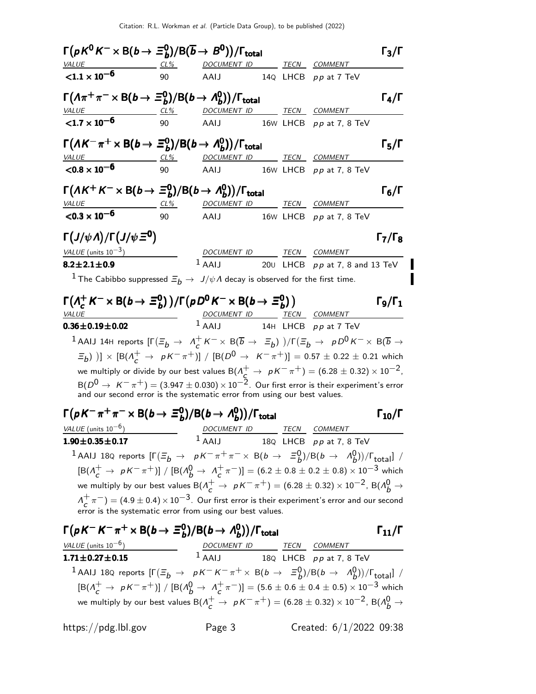| $\Gamma(pK^0K^-\times \text{B}(b\to \Xi_b^0)/\text{B}(\overline{b}\to B^0))/\Gamma_{\text{total}}$                                                                                                                                               |    |                                 |  |                                  | $\Gamma_3/\Gamma$    |
|--------------------------------------------------------------------------------------------------------------------------------------------------------------------------------------------------------------------------------------------------|----|---------------------------------|--|----------------------------------|----------------------|
| $VALUE$ $CL\%$                                                                                                                                                                                                                                   |    | DOCUMENT ID                     |  | TECN COMMENT                     |                      |
| $< 1.1 \times 10^{-6}$                                                                                                                                                                                                                           | 90 | AAIJ                            |  | 14Q LHCB pp at 7 TeV             |                      |
| $\Gamma(\Lambda \pi^+ \pi^- \times B(b \to \Xi_b^0)/B(b \to \Lambda_b^0))/\Gamma_{\text{total}}$                                                                                                                                                 |    |                                 |  |                                  | $\Gamma_4/\Gamma$    |
| <b>VALUE</b><br>$CL\%$                                                                                                                                                                                                                           |    | <u>DOCUMENT ID</u>              |  | TECN COMMENT                     |                      |
| ${1.7 \times 10^{-6}}$                                                                                                                                                                                                                           | 90 | AAIJ                            |  | 16 $W$ LHCB $pp$ at 7, 8 TeV     |                      |
| $\Gamma(A K^- \pi^+ \times B(b \to \Xi_b^0)/B(b \to \Lambda_b^0))/\Gamma_{\text{total}}$                                                                                                                                                         |    |                                 |  |                                  | $\Gamma_5/\Gamma$    |
| $CL\%$<br><i>VALUE</i>                                                                                                                                                                                                                           |    | DOCUMENT ID TECN COMMENT        |  |                                  |                      |
| $<$ 0.8 $\times$ 10 <sup>-6</sup>                                                                                                                                                                                                                | 90 | AAIJ                            |  | 16 $W$ LHCB $pp$ at 7, 8 TeV     |                      |
| $\Gamma(A K^+ K^- \times B(b \to \Xi_b^0)/B(b \to \Lambda_b^0))/\Gamma_{\text{total}}$                                                                                                                                                           |    |                                 |  |                                  | $\Gamma_6/\Gamma$    |
| $CL\%$<br><b>VALUE</b>                                                                                                                                                                                                                           |    | DOCUMENT ID TECN COMMENT        |  |                                  |                      |
| $<$ 0.3 $\times$ 10 <sup>-6</sup>                                                                                                                                                                                                                | 90 | AAIJ                            |  | 16 $W$ LHCB $pp$ at 7, 8 TeV     |                      |
| $\Gamma(J/\psi \Lambda)/\Gamma(J/\psi \Xi^0)$                                                                                                                                                                                                    |    |                                 |  |                                  | $\Gamma_7/\Gamma_8$  |
| VALUE (units $10^{-3}$ )                                                                                                                                                                                                                         |    | DOCUMENT ID TECN COMMENT        |  |                                  |                      |
| $8.2 \pm 2.1 \pm 0.9$                                                                                                                                                                                                                            |    | $1$ AAIJ                        |  | 200 LHCB $pp$ at 7, 8 and 13 TeV |                      |
| <sup>1</sup> The Cabibbo suppressed $\Xi_b \to J/\psi \Lambda$ decay is observed for the first time.                                                                                                                                             |    |                                 |  |                                  |                      |
|                                                                                                                                                                                                                                                  |    |                                 |  |                                  |                      |
|                                                                                                                                                                                                                                                  |    |                                 |  |                                  |                      |
| $\Gamma(A_c^+ K^- \times B(b \to \Xi_b^0)) / \Gamma(pD^0 K^- \times B(b \to \Xi_b^0))$                                                                                                                                                           |    |                                 |  |                                  | $\Gamma_9/\Gamma_1$  |
| <i>VALUE</i>                                                                                                                                                                                                                                     |    | DOCUMENT ID TECN COMMENT        |  |                                  |                      |
| $0.36 \pm 0.19 \pm 0.02$                                                                                                                                                                                                                         |    | $1$ AAIJ 14H LHCB $pp$ at 7 TeV |  |                                  |                      |
| $^{-1}$ AAIJ 14H reports $[\Gamma(\Xi_b\to~\Lambda_c^+$ $\kappa^-\times$ B( $\overline{b}$ $\to~\Xi_b)$ )/ $\Gamma(\Xi_b\to~pD^0$ $\kappa^-\times$ B( $\overline{b}$ $\to$                                                                       |    |                                 |  |                                  |                      |
| $(\Xi_b)$ )] $\times$ [B( $\Lambda_c^+ \to pK^-\pi^+$ )] / [B( $D^0 \to K^-\pi^+$ )] = 0.57 ± 0.22 ± 0.21 which                                                                                                                                  |    |                                 |  |                                  |                      |
| we multiply or divide by our best values $B(\Lambda_c^+ \to pK^-\pi^+) = (6.28 \pm 0.32) \times 10^{-2}$ ,                                                                                                                                       |    |                                 |  |                                  |                      |
| $B(D^0 \rightarrow K^-\pi^+)=(3.947\pm0.030)\times 10^{-2}$ . Our first error is their experiment's error<br>and our second error is the systematic error from using our best values.                                                            |    |                                 |  |                                  |                      |
|                                                                                                                                                                                                                                                  |    |                                 |  |                                  |                      |
| $\Gamma(pK^-\pi^+\pi^- \times B(b \to \Xi_b^0)/B(b \to \Lambda_b^0))/\Gamma_{\text{total}}$                                                                                                                                                      |    |                                 |  |                                  | $\Gamma_{10}/\Gamma$ |
| VALUE (units $10^{-6}$ )<br>$1.90 \pm 0.35 \pm 0.17$                                                                                                                                                                                             |    | DOCUMENT ID TECN COMMENT        |  |                                  |                      |
|                                                                                                                                                                                                                                                  |    |                                 |  | $1$ AAIJ 18Q LHCB pp at 7, 8 TeV |                      |
| 1 AAIJ 18Q reports $[\Gamma(\Xi_b \to pK^-\pi^+\pi^-\times B(b\to \Xi_b^0)/B(b\to \Lambda_b^0))/\Gamma_{\rm total}]$ /                                                                                                                           |    |                                 |  |                                  |                      |
| $[{\rm B}(\Lambda_c^+\to pK^-\pi^+)]/[{\rm B}(\Lambda_b^0\to \Lambda_c^+\pi^-)]=(6.2\pm0.8\pm0.2\pm0.8)\times 10^{-3}$ which                                                                                                                     |    |                                 |  |                                  |                      |
| we multiply by our best values B( $\Lambda_c^+ \to pK^-\pi^+)$ = (6.28 $\pm$ 0.32) $\times$ 10 <sup>-2</sup> , B( $\Lambda_b^0 \to$<br>$\Lambda_c^+\pi^-)=(4.9\pm0.4)\times10^{-3}$ . Our first error is their experiment's error and our second |    |                                 |  |                                  |                      |
| error is the systematic error from using our best values.<br>$\Gamma(pK^-K^-\pi^+\times B(b\to \Xi_b^0)/B(b\to \Lambda_b^0))/\Gamma_{\text{total}}$                                                                                              |    |                                 |  |                                  | $\Gamma_{11}/\Gamma$ |

| <i>VALUE</i> (units $10^{-6}$ )                                                                                                    | DOCUMENT ID | <b>TECN</b> | <i>COMMENT</i>            |
|------------------------------------------------------------------------------------------------------------------------------------|-------------|-------------|---------------------------|
| $1.71 \pm 0.27 \pm 0.15$                                                                                                           | $1$ AAIJ    |             | 18Q LHCB $pp$ at 7, 8 TeV |
| <sup>1</sup> AAIJ 18Q reports $[\Gamma(\Xi_b \to pK^-K^-\pi^+\times B(b\to \Xi_b^0)/B(b\to \Lambda_b^0))/\Gamma_{\text{total}}]$ / |             |             |                           |
| $[{\rm B}(\Lambda_c^+\to pK^-\pi^+)]/[{\rm B}(\Lambda_b^0\to \Lambda_c^+\pi^-)]=(5.6\pm 0.6\pm 0.4\pm 0.5)\times 10^{-3}$ which    |             |             |                           |
| we multiply by our best values B( $\Lambda_c^+ \to pK^-\pi^+$ ) = (6.28 ± 0.32) × 10 <sup>-2</sup> , B( $\Lambda_b^0 \to$          |             |             |                           |

https://pdg.lbl.gov Page 3 Created: 6/1/2022 09:38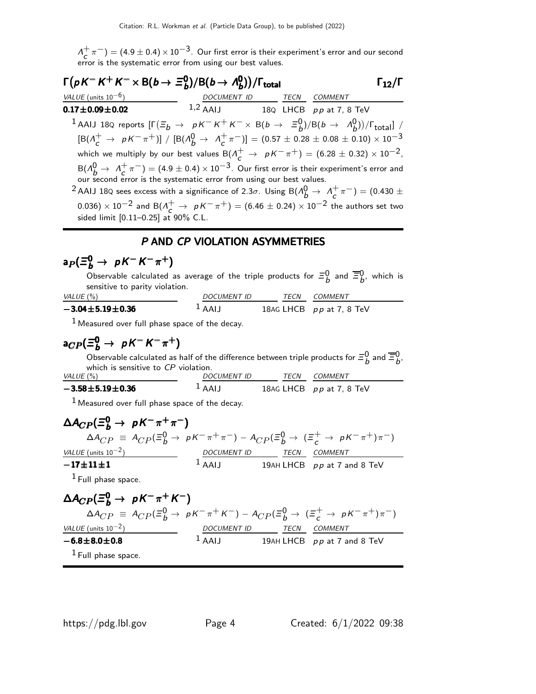$\Lambda^+$  $\sigma_c^+ \pi^-) = (4.9 \pm 0.4) \times 10^{-3}$ . Our first error is their experiment's error and our second error is the systematic error from using our best values.

| $\Gamma(pK^-K^+K^- \times B(b \to \Xi_b^0)/B(b \to \Lambda_b^0))/\Gamma_{\text{total}}$                                                 |                                    |                          | $\Gamma_{12}/\Gamma$ |
|-----------------------------------------------------------------------------------------------------------------------------------------|------------------------------------|--------------------------|----------------------|
| VALUE (units $10^{-6}$ )                                                                                                                |                                    | DOCUMENT ID TECN COMMENT |                      |
| $0.17 \pm 0.09 \pm 0.02$                                                                                                                | 1,2 AAIJ 18Q LHCB $pp$ at 7, 8 TeV |                          |                      |
| <sup>1</sup> AAIJ 18Q reports $[\Gamma(\Xi_b \to pK^-K^+K^- \times B(b \to \Xi_b^0)/B(b \to \Lambda_b^0))/\Gamma_{\rm total}]$ /        |                                    |                          |                      |
| $[{\rm B}(\Lambda_c^+ \to pK^-\pi^+)] / [{\rm B}(\Lambda_b^0 \to \Lambda_c^+\pi^-)] = (0.57 \pm 0.28 \pm 0.08 \pm 0.10) \times 10^{-3}$ |                                    |                          |                      |
| which we multiply by our best values $B(\Lambda_c^+ \to pK^-\pi^+) = (6.28 \pm 0.32) \times 10^{-2}$ ,                                  |                                    |                          |                      |
| $B(A_A^0 \rightarrow A_C^+\pi^-) = (4.9 \pm 0.4) \times 10^{-3}$ . Our first error is their experiment's error and                      |                                    |                          |                      |
| our second error is the systematic error from using our best values.                                                                    |                                    |                          |                      |
| <sup>2</sup> AAIJ 18Q sees excess with a significance of 2.3 $\sigma$ . Using B( $\Lambda_b^0 \to \Lambda_c^+ \pi^-$ ) = (0.430 $\pm$   |                                    |                          |                      |

0.036) × 10<sup>-2</sup> and B( $\Lambda_c^+ \to pK^-\pi^+$ ) = (6.46 ± 0.24) × 10<sup>-2</sup> the authors set two sided limit [0.11–0.25] at 90% C.L.

### P AND CP VIOLATION ASYMMETRIES

# $a_P(\Xi_b^0\to~pK^-K^-\pi^+)$

Observable calculated as average of the triple products for  $\Xi_b^0$  and  $\overline{\Xi}_b^0$ , which is sensitive to parity violation.

| VALUE $(\%)$              | <i>DOCUMENT ID</i>  | TFCN | <i>COMMENT</i>             |
|---------------------------|---------------------|------|----------------------------|
| $-3.04 \pm 5.19 \pm 0.36$ | $\overline{A}$ AAIJ |      | 18AG LHCB $pp$ at 7, 8 TeV |

 $<sup>1</sup>$  Measured over full phase space of the decay.</sup>

# $a_{CP}(\Xi_b^0 \rightarrow \, pK^-K^-\pi^+)$

Observable calculated as half of the difference between triple products for  $\Xi_b^0$  and  $\overline{\Xi}_b^0$ , which is sensitive to CP violation.

| VALUE (%)                 | <i>DOCUMENT ID</i>  | TFCN | <i>COMMENT</i>             |  |
|---------------------------|---------------------|------|----------------------------|--|
| $-3.58 \pm 5.19 \pm 0.36$ | $\overline{A}$ AAIJ |      | 18AG LHCB $pp$ at 7, 8 TeV |  |

 $1$  Measured over full phase space of the decay.

$$
\Delta A_{CP}(\equiv_{{\bf b}}^{\bf 0} \rightarrow pK^-\pi^+\pi^-)
$$
\n
$$
\Delta A_{CP} \equiv A_{CP}(\equiv_{{\bf b}}^{\bf 0} \rightarrow pK^-\pi^+\pi^-) - A_{CP}(\equiv_{{\bf b}}^{\bf 0} \rightarrow (\equiv_{{\bf c}}^+ \rightarrow pK^-\pi^+)\pi^-)
$$
\n
$$
\frac{\text{VALUE (units 10-2)} }{1}
$$
\n
$$
\frac{DOCUMENT ID}{1 \text{ PAH LHCB}} \frac{TECN}{pp \text{ at 7 and 8 TeV}}
$$
\n
$$
\frac{1 \text{ Full phase space.}}{1 \text{Full phase space.}}
$$

$$
\Delta A_{CP}(\Xi_b^0 \to pK^- \pi^+ K^-)
$$
\n
$$
\Delta A_{CP} \equiv A_{CP}(\Xi_b^0 \to pK^- \pi^+ K^-) - A_{CP}(\Xi_b^0 \to (\Xi_c^+ \to pK^- \pi^+) \pi^-)
$$
\n
$$
\frac{\text{VALUE (units 10}^{-2})}{-6.8 \pm 8.0 \pm 0.8}
$$
\n
$$
\frac{\text{DOCUMENT ID}}{1 \text{ AAIJ}}
$$
\n
$$
\frac{\text{TECN}}{1 \text{ BIALHCB}}
$$
\n
$$
\frac{\text{COMMENT}}{\text{PQ}} = \frac{\text{COMMENT}}{1 \text{ BIALHCB}}
$$
\n
$$
\frac{\text{LOMMENT}}{\text{PQ}} = \frac{\text{LOMMENT}}{1 \text{ BIALHCB}}
$$